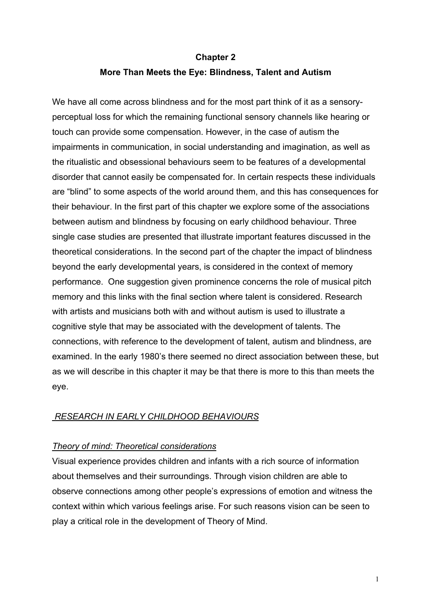## **Chapter 2**

## **More Than Meets the Eye: Blindness, Talent and Autism**

We have all come across blindness and for the most part think of it as a sensoryperceptual loss for which the remaining functional sensory channels like hearing or touch can provide some compensation. However, in the case of autism the impairments in communication, in social understanding and imagination, as well as the ritualistic and obsessional behaviours seem to be features of a developmental disorder that cannot easily be compensated for. In certain respects these individuals are "blind" to some aspects of the world around them, and this has consequences for their behaviour. In the first part of this chapter we explore some of the associations between autism and blindness by focusing on early childhood behaviour. Three single case studies are presented that illustrate important features discussed in the theoretical considerations. In the second part of the chapter the impact of blindness beyond the early developmental years, is considered in the context of memory performance. One suggestion given prominence concerns the role of musical pitch memory and this links with the final section where talent is considered. Research with artists and musicians both with and without autism is used to illustrate a cognitive style that may be associated with the development of talents. The connections, with reference to the development of talent, autism and blindness, are examined. In the early 1980's there seemed no direct association between these, but as we will describe in this chapter it may be that there is more to this than meets the eye.

# *RESEARCH IN EARLY CHILDHOOD BEHAVIOURS*

## *Theory of mind: Theoretical considerations*

Visual experience provides children and infants with a rich source of information about themselves and their surroundings. Through vision children are able to observe connections among other people's expressions of emotion and witness the context within which various feelings arise. For such reasons vision can be seen to play a critical role in the development of Theory of Mind.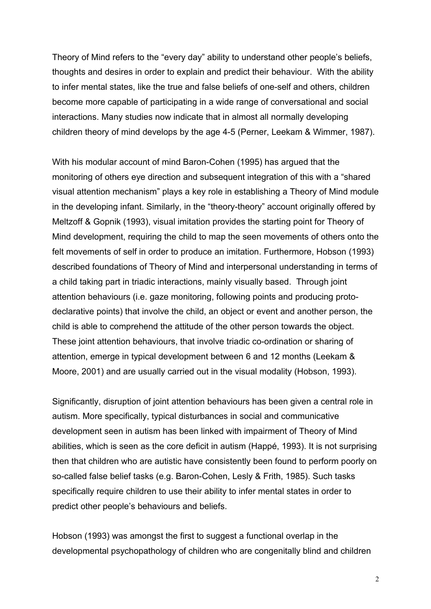Theory of Mind refers to the "every day" ability to understand other people's beliefs, thoughts and desires in order to explain and predict their behaviour. With the ability to infer mental states, like the true and false beliefs of one-self and others, children become more capable of participating in a wide range of conversational and social interactions. Many studies now indicate that in almost all normally developing children theory of mind develops by the age 4-5 (Perner, Leekam & Wimmer, 1987).

With his modular account of mind Baron-Cohen (1995) has argued that the monitoring of others eye direction and subsequent integration of this with a "shared visual attention mechanism" plays a key role in establishing a Theory of Mind module in the developing infant. Similarly, in the "theory-theory" account originally offered by Meltzoff & Gopnik (1993), visual imitation provides the starting point for Theory of Mind development, requiring the child to map the seen movements of others onto the felt movements of self in order to produce an imitation. Furthermore, Hobson (1993) described foundations of Theory of Mind and interpersonal understanding in terms of a child taking part in triadic interactions, mainly visually based. Through joint attention behaviours (i.e. gaze monitoring, following points and producing protodeclarative points) that involve the child, an object or event and another person, the child is able to comprehend the attitude of the other person towards the object. These joint attention behaviours, that involve triadic co-ordination or sharing of attention, emerge in typical development between 6 and 12 months (Leekam & Moore, 2001) and are usually carried out in the visual modality (Hobson, 1993).

Significantly, disruption of joint attention behaviours has been given a central role in autism. More specifically, typical disturbances in social and communicative development seen in autism has been linked with impairment of Theory of Mind abilities, which is seen as the core deficit in autism (Happé, 1993). It is not surprising then that children who are autistic have consistently been found to perform poorly on so-called false belief tasks (e.g. Baron-Cohen, Lesly & Frith, 1985). Such tasks specifically require children to use their ability to infer mental states in order to predict other people's behaviours and beliefs.

Hobson (1993) was amongst the first to suggest a functional overlap in the developmental psychopathology of children who are congenitally blind and children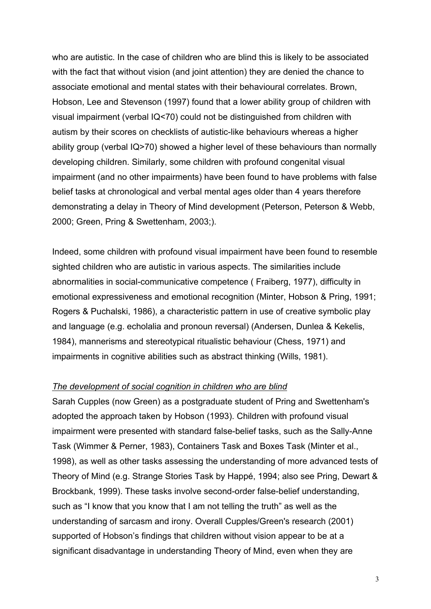who are autistic. In the case of children who are blind this is likely to be associated with the fact that without vision (and joint attention) they are denied the chance to associate emotional and mental states with their behavioural correlates. Brown, Hobson, Lee and Stevenson (1997) found that a lower ability group of children with visual impairment (verbal IQ<70) could not be distinguished from children with autism by their scores on checklists of autistic-like behaviours whereas a higher ability group (verbal IQ>70) showed a higher level of these behaviours than normally developing children. Similarly, some children with profound congenital visual impairment (and no other impairments) have been found to have problems with false belief tasks at chronological and verbal mental ages older than 4 years therefore demonstrating a delay in Theory of Mind development (Peterson, Peterson & Webb, 2000; Green, Pring & Swettenham, 2003;).

Indeed, some children with profound visual impairment have been found to resemble sighted children who are autistic in various aspects. The similarities include abnormalities in social-communicative competence ( Fraiberg, 1977), difficulty in emotional expressiveness and emotional recognition (Minter, Hobson & Pring, 1991; Rogers & Puchalski, 1986), a characteristic pattern in use of creative symbolic play and language (e.g. echolalia and pronoun reversal) (Andersen, Dunlea & Kekelis, 1984), mannerisms and stereotypical ritualistic behaviour (Chess, 1971) and impairments in cognitive abilities such as abstract thinking (Wills, 1981).

#### *The development of social cognition in children who are blind*

Sarah Cupples (now Green) as a postgraduate student of Pring and Swettenham's adopted the approach taken by Hobson (1993). Children with profound visual impairment were presented with standard false-belief tasks, such as the Sally-Anne Task (Wimmer & Perner, 1983), Containers Task and Boxes Task (Minter et al., 1998), as well as other tasks assessing the understanding of more advanced tests of Theory of Mind (e.g. Strange Stories Task by Happé, 1994; also see Pring, Dewart & Brockbank, 1999). These tasks involve second-order false-belief understanding, such as "I know that you know that I am not telling the truth" as well as the understanding of sarcasm and irony. Overall Cupples/Green's research (2001) supported of Hobson's findings that children without vision appear to be at a significant disadvantage in understanding Theory of Mind, even when they are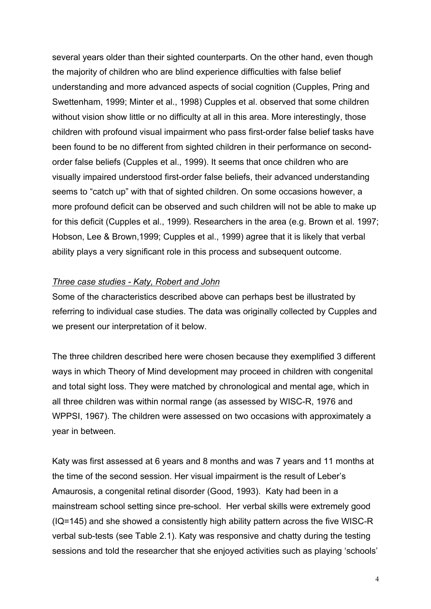several years older than their sighted counterparts. On the other hand, even though the majority of children who are blind experience difficulties with false belief understanding and more advanced aspects of social cognition (Cupples, Pring and Swettenham, 1999; Minter et al., 1998) Cupples et al. observed that some children without vision show little or no difficulty at all in this area. More interestingly, those children with profound visual impairment who pass first-order false belief tasks have been found to be no different from sighted children in their performance on secondorder false beliefs (Cupples et al., 1999). It seems that once children who are visually impaired understood first-order false beliefs, their advanced understanding seems to "catch up" with that of sighted children. On some occasions however, a more profound deficit can be observed and such children will not be able to make up for this deficit (Cupples et al., 1999). Researchers in the area (e.g. Brown et al. 1997; Hobson, Lee & Brown,1999; Cupples et al., 1999) agree that it is likely that verbal ability plays a very significant role in this process and subsequent outcome.

## *Three case studies - Katy, Robert and John*

Some of the characteristics described above can perhaps best be illustrated by referring to individual case studies. The data was originally collected by Cupples and we present our interpretation of it below.

The three children described here were chosen because they exemplified 3 different ways in which Theory of Mind development may proceed in children with congenital and total sight loss. They were matched by chronological and mental age, which in all three children was within normal range (as assessed by WISC-R, 1976 and WPPSI, 1967). The children were assessed on two occasions with approximately a year in between.

Katy was first assessed at 6 years and 8 months and was 7 years and 11 months at the time of the second session. Her visual impairment is the result of Leber's Amaurosis, a congenital retinal disorder (Good, 1993). Katy had been in a mainstream school setting since pre-school. Her verbal skills were extremely good (IQ=145) and she showed a consistently high ability pattern across the five WISC-R verbal sub-tests (see Table 2.1). Katy was responsive and chatty during the testing sessions and told the researcher that she enjoyed activities such as playing 'schools'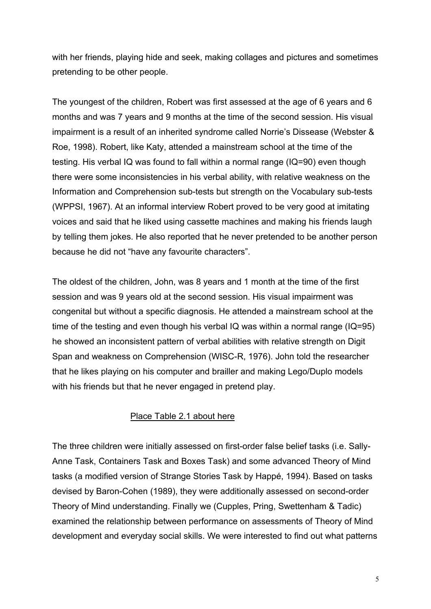with her friends, playing hide and seek, making collages and pictures and sometimes pretending to be other people.

The youngest of the children, Robert was first assessed at the age of 6 years and 6 months and was 7 years and 9 months at the time of the second session. His visual impairment is a result of an inherited syndrome called Norrie's Dissease (Webster & Roe, 1998). Robert, like Katy, attended a mainstream school at the time of the testing. His verbal IQ was found to fall within a normal range (IQ=90) even though there were some inconsistencies in his verbal ability, with relative weakness on the Information and Comprehension sub-tests but strength on the Vocabulary sub-tests (WPPSI, 1967). At an informal interview Robert proved to be very good at imitating voices and said that he liked using cassette machines and making his friends laugh by telling them jokes. He also reported that he never pretended to be another person because he did not "have any favourite characters".

The oldest of the children, John, was 8 years and 1 month at the time of the first session and was 9 years old at the second session. His visual impairment was congenital but without a specific diagnosis. He attended a mainstream school at the time of the testing and even though his verbal IQ was within a normal range (IQ=95) he showed an inconsistent pattern of verbal abilities with relative strength on Digit Span and weakness on Comprehension (WISC-R, 1976). John told the researcher that he likes playing on his computer and brailler and making Lego/Duplo models with his friends but that he never engaged in pretend play.

## Place Table 2.1 about here

The three children were initially assessed on first-order false belief tasks (i.e. Sally-Anne Task, Containers Task and Boxes Task) and some advanced Theory of Mind tasks (a modified version of Strange Stories Task by Happé, 1994). Based on tasks devised by Baron-Cohen (1989), they were additionally assessed on second-order Theory of Mind understanding. Finally we (Cupples, Pring, Swettenham & Tadic) examined the relationship between performance on assessments of Theory of Mind development and everyday social skills. We were interested to find out what patterns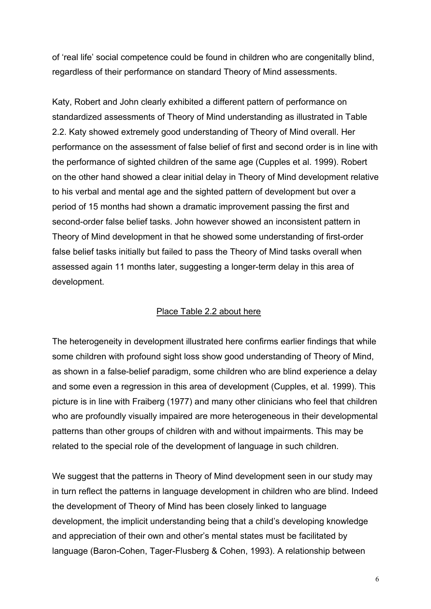of 'real life' social competence could be found in children who are congenitally blind, regardless of their performance on standard Theory of Mind assessments.

Katy, Robert and John clearly exhibited a different pattern of performance on standardized assessments of Theory of Mind understanding as illustrated in Table 2.2. Katy showed extremely good understanding of Theory of Mind overall. Her performance on the assessment of false belief of first and second order is in line with the performance of sighted children of the same age (Cupples et al. 1999). Robert on the other hand showed a clear initial delay in Theory of Mind development relative to his verbal and mental age and the sighted pattern of development but over a period of 15 months had shown a dramatic improvement passing the first and second-order false belief tasks. John however showed an inconsistent pattern in Theory of Mind development in that he showed some understanding of first-order false belief tasks initially but failed to pass the Theory of Mind tasks overall when assessed again 11 months later, suggesting a longer-term delay in this area of development.

## Place Table 2.2 about here

The heterogeneity in development illustrated here confirms earlier findings that while some children with profound sight loss show good understanding of Theory of Mind, as shown in a false-belief paradigm, some children who are blind experience a delay and some even a regression in this area of development (Cupples, et al. 1999). This picture is in line with Fraiberg (1977) and many other clinicians who feel that children who are profoundly visually impaired are more heterogeneous in their developmental patterns than other groups of children with and without impairments. This may be related to the special role of the development of language in such children.

We suggest that the patterns in Theory of Mind development seen in our study may in turn reflect the patterns in language development in children who are blind. Indeed the development of Theory of Mind has been closely linked to language development, the implicit understanding being that a child's developing knowledge and appreciation of their own and other's mental states must be facilitated by language (Baron-Cohen, Tager-Flusberg & Cohen, 1993). A relationship between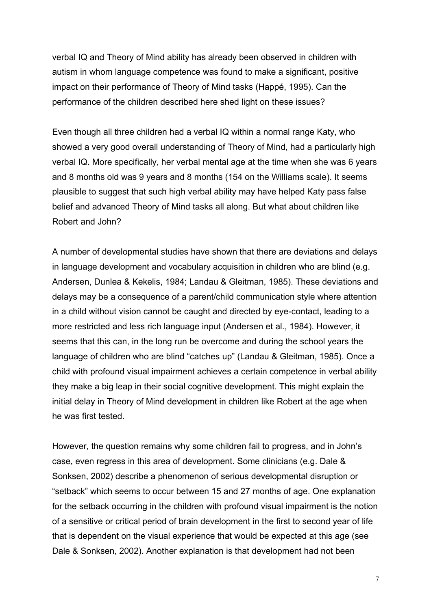verbal IQ and Theory of Mind ability has already been observed in children with autism in whom language competence was found to make a significant, positive impact on their performance of Theory of Mind tasks (Happé, 1995). Can the performance of the children described here shed light on these issues?

Even though all three children had a verbal IQ within a normal range Katy, who showed a very good overall understanding of Theory of Mind, had a particularly high verbal IQ. More specifically, her verbal mental age at the time when she was 6 years and 8 months old was 9 years and 8 months (154 on the Williams scale). It seems plausible to suggest that such high verbal ability may have helped Katy pass false belief and advanced Theory of Mind tasks all along. But what about children like Robert and John?

A number of developmental studies have shown that there are deviations and delays in language development and vocabulary acquisition in children who are blind (e.g. Andersen, Dunlea & Kekelis, 1984; Landau & Gleitman, 1985). These deviations and delays may be a consequence of a parent/child communication style where attention in a child without vision cannot be caught and directed by eye-contact, leading to a more restricted and less rich language input (Andersen et al., 1984). However, it seems that this can, in the long run be overcome and during the school years the language of children who are blind "catches up" (Landau & Gleitman, 1985). Once a child with profound visual impairment achieves a certain competence in verbal ability they make a big leap in their social cognitive development. This might explain the initial delay in Theory of Mind development in children like Robert at the age when he was first tested.

However, the question remains why some children fail to progress, and in John's case, even regress in this area of development. Some clinicians (e.g. Dale & Sonksen, 2002) describe a phenomenon of serious developmental disruption or "setback" which seems to occur between 15 and 27 months of age. One explanation for the setback occurring in the children with profound visual impairment is the notion of a sensitive or critical period of brain development in the first to second year of life that is dependent on the visual experience that would be expected at this age (see Dale & Sonksen, 2002). Another explanation is that development had not been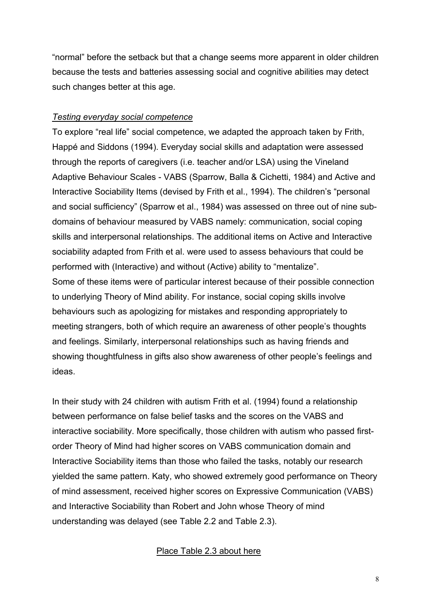"normal" before the setback but that a change seems more apparent in older children because the tests and batteries assessing social and cognitive abilities may detect such changes better at this age.

## *Testing everyday social competence*

To explore "real life" social competence, we adapted the approach taken by Frith, Happé and Siddons (1994). Everyday social skills and adaptation were assessed through the reports of caregivers (i.e. teacher and/or LSA) using the Vineland Adaptive Behaviour Scales - VABS (Sparrow, Balla & Cichetti, 1984) and Active and Interactive Sociability Items (devised by Frith et al., 1994). The children's "personal and social sufficiency" (Sparrow et al., 1984) was assessed on three out of nine subdomains of behaviour measured by VABS namely: communication, social coping skills and interpersonal relationships. The additional items on Active and Interactive sociability adapted from Frith et al. were used to assess behaviours that could be performed with (Interactive) and without (Active) ability to "mentalize". Some of these items were of particular interest because of their possible connection to underlying Theory of Mind ability. For instance, social coping skills involve behaviours such as apologizing for mistakes and responding appropriately to meeting strangers, both of which require an awareness of other people's thoughts and feelings. Similarly, interpersonal relationships such as having friends and showing thoughtfulness in gifts also show awareness of other people's feelings and ideas.

In their study with 24 children with autism Frith et al. (1994) found a relationship between performance on false belief tasks and the scores on the VABS and interactive sociability. More specifically, those children with autism who passed firstorder Theory of Mind had higher scores on VABS communication domain and Interactive Sociability items than those who failed the tasks, notably our research yielded the same pattern. Katy, who showed extremely good performance on Theory of mind assessment, received higher scores on Expressive Communication (VABS) and Interactive Sociability than Robert and John whose Theory of mind understanding was delayed (see Table 2.2 and Table 2.3).

## Place Table 2.3 about here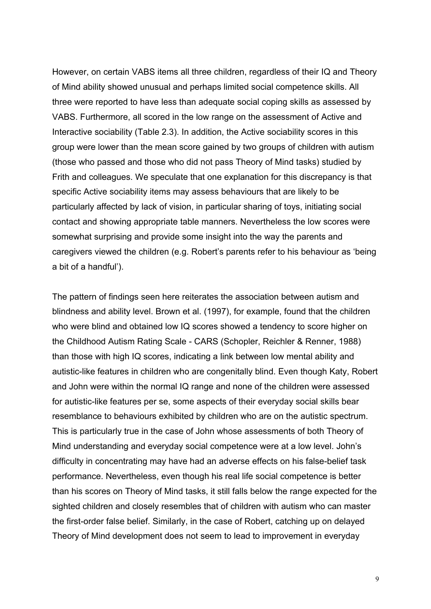However, on certain VABS items all three children, regardless of their IQ and Theory of Mind ability showed unusual and perhaps limited social competence skills. All three were reported to have less than adequate social coping skills as assessed by VABS. Furthermore, all scored in the low range on the assessment of Active and Interactive sociability (Table 2.3). In addition, the Active sociability scores in this group were lower than the mean score gained by two groups of children with autism (those who passed and those who did not pass Theory of Mind tasks) studied by Frith and colleagues. We speculate that one explanation for this discrepancy is that specific Active sociability items may assess behaviours that are likely to be particularly affected by lack of vision, in particular sharing of toys, initiating social contact and showing appropriate table manners. Nevertheless the low scores were somewhat surprising and provide some insight into the way the parents and caregivers viewed the children (e.g. Robert's parents refer to his behaviour as 'being a bit of a handful').

The pattern of findings seen here reiterates the association between autism and blindness and ability level. Brown et al. (1997), for example, found that the children who were blind and obtained low IQ scores showed a tendency to score higher on the Childhood Autism Rating Scale - CARS (Schopler, Reichler & Renner, 1988) than those with high IQ scores, indicating a link between low mental ability and autistic-like features in children who are congenitally blind. Even though Katy, Robert and John were within the normal IQ range and none of the children were assessed for autistic-like features per se, some aspects of their everyday social skills bear resemblance to behaviours exhibited by children who are on the autistic spectrum. This is particularly true in the case of John whose assessments of both Theory of Mind understanding and everyday social competence were at a low level. John's difficulty in concentrating may have had an adverse effects on his false-belief task performance. Nevertheless, even though his real life social competence is better than his scores on Theory of Mind tasks, it still falls below the range expected for the sighted children and closely resembles that of children with autism who can master the first-order false belief. Similarly, in the case of Robert, catching up on delayed Theory of Mind development does not seem to lead to improvement in everyday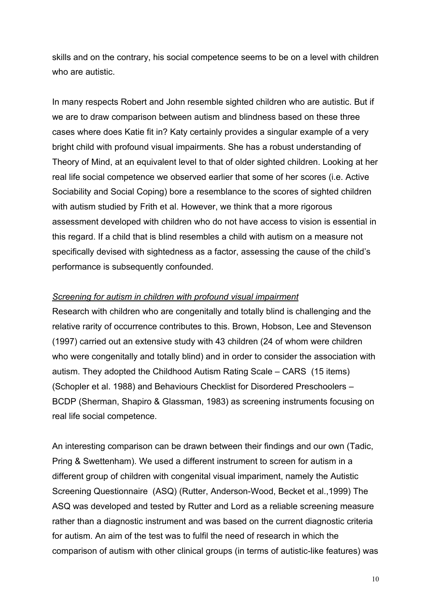skills and on the contrary, his social competence seems to be on a level with children who are autistic.

In many respects Robert and John resemble sighted children who are autistic. But if we are to draw comparison between autism and blindness based on these three cases where does Katie fit in? Katy certainly provides a singular example of a very bright child with profound visual impairments. She has a robust understanding of Theory of Mind, at an equivalent level to that of older sighted children. Looking at her real life social competence we observed earlier that some of her scores (i.e. Active Sociability and Social Coping) bore a resemblance to the scores of sighted children with autism studied by Frith et al. However, we think that a more rigorous assessment developed with children who do not have access to vision is essential in this regard. If a child that is blind resembles a child with autism on a measure not specifically devised with sightedness as a factor, assessing the cause of the child's performance is subsequently confounded.

### *Screening for autism in children with profound visual impairment*

Research with children who are congenitally and totally blind is challenging and the relative rarity of occurrence contributes to this. Brown, Hobson, Lee and Stevenson (1997) carried out an extensive study with 43 children (24 of whom were children who were congenitally and totally blind) and in order to consider the association with autism. They adopted the Childhood Autism Rating Scale – CARS (15 items) (Schopler et al. 1988) and Behaviours Checklist for Disordered Preschoolers – BCDP (Sherman, Shapiro & Glassman, 1983) as screening instruments focusing on real life social competence.

An interesting comparison can be drawn between their findings and our own (Tadic, Pring & Swettenham). We used a different instrument to screen for autism in a different group of children with congenital visual impariment, namely the Autistic Screening Questionnaire (ASQ) (Rutter, Anderson-Wood, Becket et al.,1999) The ASQ was developed and tested by Rutter and Lord as a reliable screening measure rather than a diagnostic instrument and was based on the current diagnostic criteria for autism. An aim of the test was to fulfil the need of research in which the comparison of autism with other clinical groups (in terms of autistic-like features) was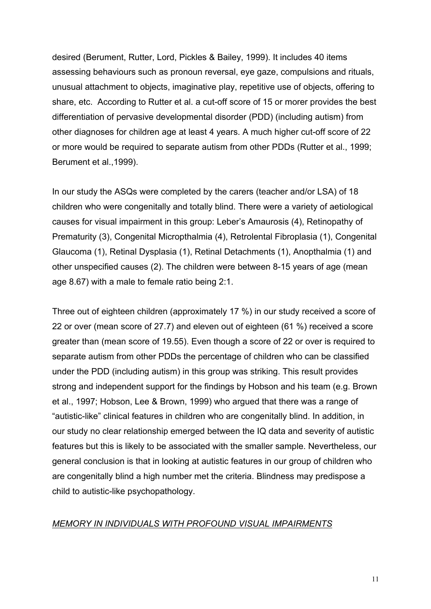desired (Berument, Rutter, Lord, Pickles & Bailey, 1999). It includes 40 items assessing behaviours such as pronoun reversal, eye gaze, compulsions and rituals, unusual attachment to objects, imaginative play, repetitive use of objects, offering to share, etc. According to Rutter et al. a cut-off score of 15 or morer provides the best differentiation of pervasive developmental disorder (PDD) (including autism) from other diagnoses for children age at least 4 years. A much higher cut-off score of 22 or more would be required to separate autism from other PDDs (Rutter et al., 1999; Berument et al.,1999).

In our study the ASQs were completed by the carers (teacher and/or LSA) of 18 children who were congenitally and totally blind. There were a variety of aetiological causes for visual impairment in this group: Leber's Amaurosis (4), Retinopathy of Prematurity (3), Congenital Micropthalmia (4), Retrolental Fibroplasia (1), Congenital Glaucoma (1), Retinal Dysplasia (1), Retinal Detachments (1), Anopthalmia (1) and other unspecified causes (2). The children were between 8-15 years of age (mean age 8.67) with a male to female ratio being 2:1.

Three out of eighteen children (approximately 17 %) in our study received a score of 22 or over (mean score of 27.7) and eleven out of eighteen (61 %) received a score greater than (mean score of 19.55). Even though a score of 22 or over is required to separate autism from other PDDs the percentage of children who can be classified under the PDD (including autism) in this group was striking. This result provides strong and independent support for the findings by Hobson and his team (e.g. Brown et al., 1997; Hobson, Lee & Brown, 1999) who argued that there was a range of "autistic-like" clinical features in children who are congenitally blind. In addition, in our study no clear relationship emerged between the IQ data and severity of autistic features but this is likely to be associated with the smaller sample. Nevertheless, our general conclusion is that in looking at autistic features in our group of children who are congenitally blind a high number met the criteria. Blindness may predispose a child to autistic-like psychopathology.

## *MEMORY IN INDIVIDUALS WITH PROFOUND VISUAL IMPAIRMENTS*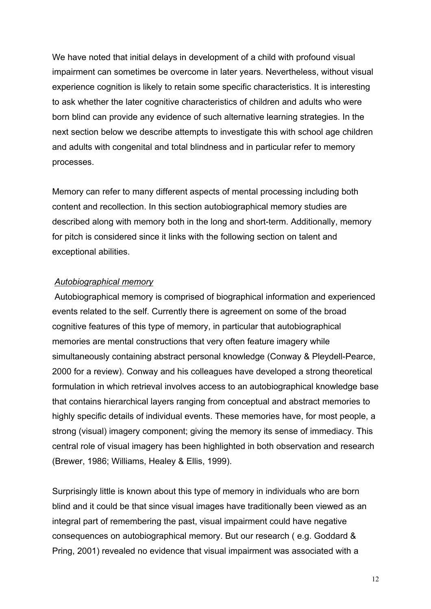We have noted that initial delays in development of a child with profound visual impairment can sometimes be overcome in later years. Nevertheless, without visual experience cognition is likely to retain some specific characteristics. It is interesting to ask whether the later cognitive characteristics of children and adults who were born blind can provide any evidence of such alternative learning strategies. In the next section below we describe attempts to investigate this with school age children and adults with congenital and total blindness and in particular refer to memory processes.

Memory can refer to many different aspects of mental processing including both content and recollection. In this section autobiographical memory studies are described along with memory both in the long and short-term. Additionally, memory for pitch is considered since it links with the following section on talent and exceptional abilities.

## *Autobiographical memory*

 Autobiographical memory is comprised of biographical information and experienced events related to the self. Currently there is agreement on some of the broad cognitive features of this type of memory, in particular that autobiographical memories are mental constructions that very often feature imagery while simultaneously containing abstract personal knowledge (Conway & Pleydell-Pearce, 2000 for a review). Conway and his colleagues have developed a strong theoretical formulation in which retrieval involves access to an autobiographical knowledge base that contains hierarchical layers ranging from conceptual and abstract memories to highly specific details of individual events. These memories have, for most people, a strong (visual) imagery component; giving the memory its sense of immediacy. This central role of visual imagery has been highlighted in both observation and research (Brewer, 1986; Williams, Healey & Ellis, 1999).

Surprisingly little is known about this type of memory in individuals who are born blind and it could be that since visual images have traditionally been viewed as an integral part of remembering the past, visual impairment could have negative consequences on autobiographical memory. But our research ( e.g. Goddard & Pring, 2001) revealed no evidence that visual impairment was associated with a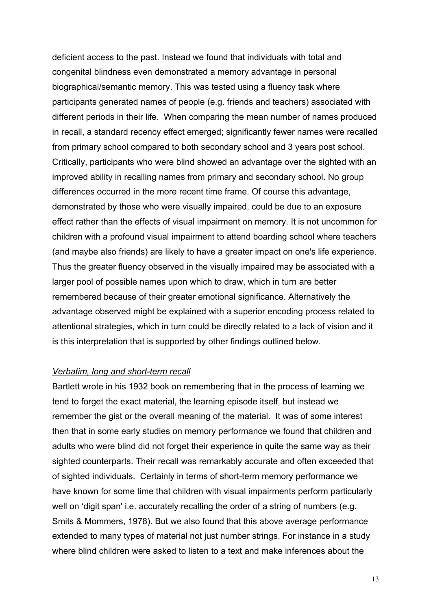deficient access to the past. Instead we found that individuals with total and congenital blindness even demonstrated a memory advantage in personal biographical/semantic memory. This was tested using a fluency task where participants generated names of people (e.g. friends and teachers) associated with different periods in their life. When comparing the mean number of names produced in recall, a standard recency effect emerged; significantly fewer names were recalled from primary school compared to both secondary school and 3 years post school. Critically, participants who were blind showed an advantage over the sighted with an improved ability in recalling names from primary and secondary school. No group differences occurred in the more recent time frame. Of course this advantage, demonstrated by those who were visually impaired, could be due to an exposure effect rather than the effects of visual impairment on memory. It is not uncommon for children with a profound visual impairment to attend boarding school where teachers (and maybe also friends) are likely to have a greater impact on one's life experience. Thus the greater fluency observed in the visually impaired may be associated with a larger pool of possible names upon which to draw, which in turn are better remembered because of their greater emotional significance. Alternatively the advantage observed might be explained with a superior encoding process related to attentional strategies, which in turn could be directly related to a lack of vision and it is this interpretation that is supported by other findings outlined below.

#### *Verbatim, long and short-term recall*

Bartlett wrote in his 1932 book on remembering that in the process of learning we tend to forget the exact material, the learning episode itself, but instead we remember the gist or the overall meaning of the material. It was of some interest then that in some early studies on memory performance we found that children and adults who were blind did not forget their experience in quite the same way as their sighted counterparts. Their recall was remarkably accurate and often exceeded that of sighted individuals. Certainly in terms of short-term memory performance we have known for some time that children with visual impairments perform particularly well on 'digit span' i.e. accurately recalling the order of a string of numbers (e.g. Smits & Mommers, 1978). But we also found that this above average performance extended to many types of material not just number strings. For instance in a study where blind children were asked to listen to a text and make inferences about the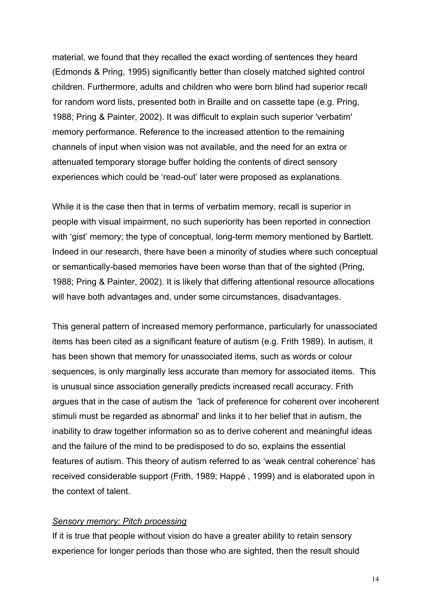material, we found that they recalled the exact wording of sentences they heard (Edmonds & Pring, 1995) significantly better than closely matched sighted control children. Furthermore, adults and children who were born blind had superior recall for random word lists, presented both in Braille and on cassette tape (e.g. Pring, 1988; Pring & Painter, 2002). It was difficult to explain such superior 'verbatim' memory performance. Reference to the increased attention to the remaining channels of input when vision was not available, and the need for an extra or attenuated temporary storage buffer holding the contents of direct sensory experiences which could be 'read-out' later were proposed as explanations.

While it is the case then that in terms of verbatim memory, recall is superior in people with visual impairment, no such superiority has been reported in connection with 'gist' memory; the type of conceptual, long-term memory mentioned by Bartlett. Indeed in our research, there have been a minority of studies where such conceptual or semantically-based memories have been worse than that of the sighted (Pring, 1988; Pring & Painter, 2002). It is likely that differing attentional resource allocations will have both advantages and, under some circumstances, disadvantages.

This general pattern of increased memory performance, particularly for unassociated items has been cited as a significant feature of autism (e.g. Frith 1989). In autism, it has been shown that memory for unassociated items, such as words or colour sequences, is only marginally less accurate than memory for associated items. This is unusual since association generally predicts increased recall accuracy. Frith argues that in the case of autism the 'lack of preference for coherent over incoherent stimuli must be regarded as abnormal' and links it to her belief that in autism, the inability to draw together information so as to derive coherent and meaningful ideas and the failure of the mind to be predisposed to do so, explains the essential features of autism. This theory of autism referred to as 'weak central coherence' has received considerable support (Frith, 1989; Happé , 1999) and is elaborated upon in the context of talent.

## *Sensory memory: Pitch processing*

If it is true that people without vision do have a greater ability to retain sensory experience for longer periods than those who are sighted, then the result should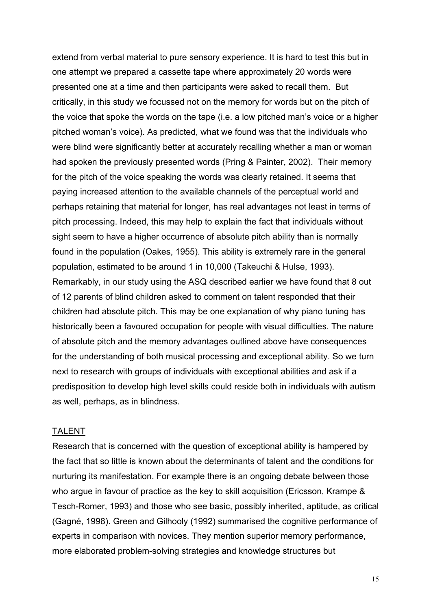extend from verbal material to pure sensory experience. It is hard to test this but in one attempt we prepared a cassette tape where approximately 20 words were presented one at a time and then participants were asked to recall them. But critically, in this study we focussed not on the memory for words but on the pitch of the voice that spoke the words on the tape (i.e. a low pitched man's voice or a higher pitched woman's voice). As predicted, what we found was that the individuals who were blind were significantly better at accurately recalling whether a man or woman had spoken the previously presented words (Pring & Painter, 2002). Their memory for the pitch of the voice speaking the words was clearly retained. It seems that paying increased attention to the available channels of the perceptual world and perhaps retaining that material for longer, has real advantages not least in terms of pitch processing. Indeed, this may help to explain the fact that individuals without sight seem to have a higher occurrence of absolute pitch ability than is normally found in the population (Oakes, 1955). This ability is extremely rare in the general population, estimated to be around 1 in 10,000 (Takeuchi & Hulse, 1993). Remarkably, in our study using the ASQ described earlier we have found that 8 out of 12 parents of blind children asked to comment on talent responded that their children had absolute pitch. This may be one explanation of why piano tuning has historically been a favoured occupation for people with visual difficulties. The nature of absolute pitch and the memory advantages outlined above have consequences for the understanding of both musical processing and exceptional ability. So we turn next to research with groups of individuals with exceptional abilities and ask if a predisposition to develop high level skills could reside both in individuals with autism as well, perhaps, as in blindness.

### TALENT

Research that is concerned with the question of exceptional ability is hampered by the fact that so little is known about the determinants of talent and the conditions for nurturing its manifestation. For example there is an ongoing debate between those who argue in favour of practice as the key to skill acquisition (Ericsson, Krampe & Tesch-Romer, 1993) and those who see basic, possibly inherited, aptitude, as critical (Gagné, 1998). Green and Gilhooly (1992) summarised the cognitive performance of experts in comparison with novices. They mention superior memory performance, more elaborated problem-solving strategies and knowledge structures but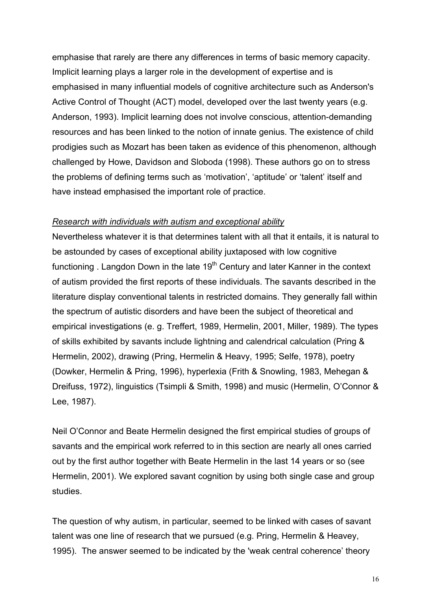emphasise that rarely are there any differences in terms of basic memory capacity. Implicit learning plays a larger role in the development of expertise and is emphasised in many influential models of cognitive architecture such as Anderson's Active Control of Thought (ACT) model, developed over the last twenty years (e.g. Anderson, 1993). Implicit learning does not involve conscious, attention-demanding resources and has been linked to the notion of innate genius. The existence of child prodigies such as Mozart has been taken as evidence of this phenomenon, although challenged by Howe, Davidson and Sloboda (1998). These authors go on to stress the problems of defining terms such as 'motivation', 'aptitude' or 'talent' itself and have instead emphasised the important role of practice.

## *Research with individuals with autism and exceptional ability*

Nevertheless whatever it is that determines talent with all that it entails, it is natural to be astounded by cases of exceptional ability juxtaposed with low cognitive functioning . Langdon Down in the late  $19<sup>th</sup>$  Century and later Kanner in the context of autism provided the first reports of these individuals. The savants described in the literature display conventional talents in restricted domains. They generally fall within the spectrum of autistic disorders and have been the subject of theoretical and empirical investigations (e. g. Treffert, 1989, Hermelin, 2001, Miller, 1989). The types of skills exhibited by savants include lightning and calendrical calculation (Pring & Hermelin, 2002), drawing (Pring, Hermelin & Heavy, 1995; Selfe, 1978), poetry (Dowker, Hermelin & Pring, 1996), hyperlexia (Frith & Snowling, 1983, Mehegan & Dreifuss, 1972), linguistics (Tsimpli & Smith, 1998) and music (Hermelin, O'Connor & Lee, 1987).

Neil O'Connor and Beate Hermelin designed the first empirical studies of groups of savants and the empirical work referred to in this section are nearly all ones carried out by the first author together with Beate Hermelin in the last 14 years or so (see Hermelin, 2001). We explored savant cognition by using both single case and group studies.

The question of why autism, in particular, seemed to be linked with cases of savant talent was one line of research that we pursued (e.g. Pring, Hermelin & Heavey, 1995). The answer seemed to be indicated by the 'weak central coherence' theory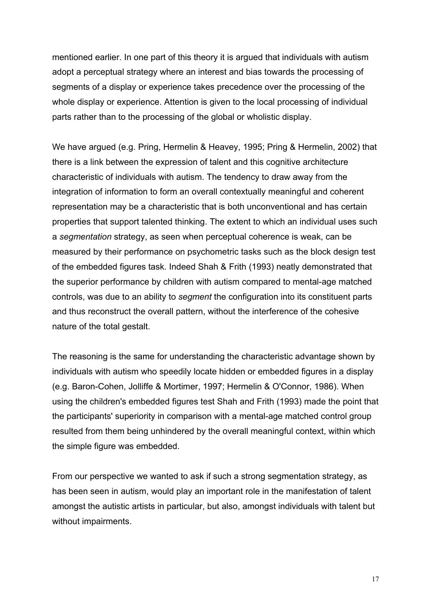mentioned earlier. In one part of this theory it is argued that individuals with autism adopt a perceptual strategy where an interest and bias towards the processing of segments of a display or experience takes precedence over the processing of the whole display or experience. Attention is given to the local processing of individual parts rather than to the processing of the global or wholistic display.

We have argued (e.g. Pring, Hermelin & Heavey, 1995; Pring & Hermelin, 2002) that there is a link between the expression of talent and this cognitive architecture characteristic of individuals with autism. The tendency to draw away from the integration of information to form an overall contextually meaningful and coherent representation may be a characteristic that is both unconventional and has certain properties that support talented thinking. The extent to which an individual uses such a *segmentation* strategy, as seen when perceptual coherence is weak, can be measured by their performance on psychometric tasks such as the block design test of the embedded figures task. Indeed Shah & Frith (1993) neatly demonstrated that the superior performance by children with autism compared to mental-age matched controls, was due to an ability to *segment* the configuration into its constituent parts and thus reconstruct the overall pattern, without the interference of the cohesive nature of the total gestalt.

The reasoning is the same for understanding the characteristic advantage shown by individuals with autism who speedily locate hidden or embedded figures in a display (e.g. Baron-Cohen, Jolliffe & Mortimer, 1997; Hermelin & O'Connor, 1986). When using the children's embedded figures test Shah and Frith (1993) made the point that the participants' superiority in comparison with a mental-age matched control group resulted from them being unhindered by the overall meaningful context, within which the simple figure was embedded.

From our perspective we wanted to ask if such a strong segmentation strategy, as has been seen in autism, would play an important role in the manifestation of talent amongst the autistic artists in particular, but also, amongst individuals with talent but without impairments.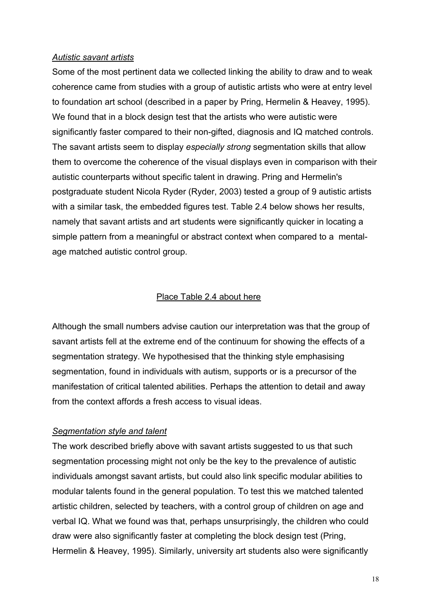### *Autistic savant artists*

Some of the most pertinent data we collected linking the ability to draw and to weak coherence came from studies with a group of autistic artists who were at entry level to foundation art school (described in a paper by Pring, Hermelin & Heavey, 1995). We found that in a block design test that the artists who were autistic were significantly faster compared to their non-gifted, diagnosis and IQ matched controls. The savant artists seem to display *especially strong* segmentation skills that allow them to overcome the coherence of the visual displays even in comparison with their autistic counterparts without specific talent in drawing. Pring and Hermelin's postgraduate student Nicola Ryder (Ryder, 2003) tested a group of 9 autistic artists with a similar task, the embedded figures test. Table 2.4 below shows her results, namely that savant artists and art students were significantly quicker in locating a simple pattern from a meaningful or abstract context when compared to a mentalage matched autistic control group.

## Place Table 2.4 about here

Although the small numbers advise caution our interpretation was that the group of savant artists fell at the extreme end of the continuum for showing the effects of a segmentation strategy. We hypothesised that the thinking style emphasising segmentation, found in individuals with autism, supports or is a precursor of the manifestation of critical talented abilities. Perhaps the attention to detail and away from the context affords a fresh access to visual ideas.

## *Segmentation style and talent*

The work described briefly above with savant artists suggested to us that such segmentation processing might not only be the key to the prevalence of autistic individuals amongst savant artists, but could also link specific modular abilities to modular talents found in the general population. To test this we matched talented artistic children, selected by teachers, with a control group of children on age and verbal IQ. What we found was that, perhaps unsurprisingly, the children who could draw were also significantly faster at completing the block design test (Pring, Hermelin & Heavey, 1995). Similarly, university art students also were significantly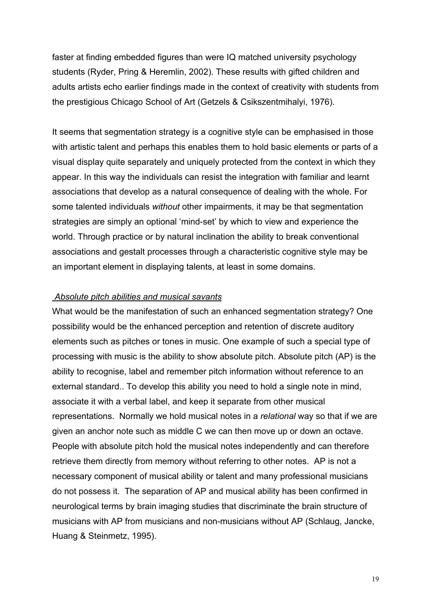faster at finding embedded figures than were IQ matched university psychology students (Ryder, Pring & Heremlin, 2002). These results with gifted children and adults artists echo earlier findings made in the context of creativity with students from the prestigious Chicago School of Art (Getzels & Csikszentmihalyi, 1976).

It seems that segmentation strategy is a cognitive style can be emphasised in those with artistic talent and perhaps this enables them to hold basic elements or parts of a visual display quite separately and uniquely protected from the context in which they appear. In this way the individuals can resist the integration with familiar and learnt associations that develop as a natural consequence of dealing with the whole. For some talented individuals *without* other impairments, it may be that segmentation strategies are simply an optional 'mind-set' by which to view and experience the world. Through practice or by natural inclination the ability to break conventional associations and gestalt processes through a characteristic cognitive style may be an important element in displaying talents, at least in some domains.

#### *Absolute pitch abilities and musical savants*

What would be the manifestation of such an enhanced segmentation strategy? One possibility would be the enhanced perception and retention of discrete auditory elements such as pitches or tones in music. One example of such a special type of processing with music is the ability to show absolute pitch. Absolute pitch (AP) is the ability to recognise, label and remember pitch information without reference to an external standard.. To develop this ability you need to hold a single note in mind, associate it with a verbal label, and keep it separate from other musical representations. Normally we hold musical notes in a *relational* way so that if we are given an anchor note such as middle C we can then move up or down an octave. People with absolute pitch hold the musical notes independently and can therefore retrieve them directly from memory without referring to other notes. AP is not a necessary component of musical ability or talent and many professional musicians do not possess it. The separation of AP and musical ability has been confirmed in neurological terms by brain imaging studies that discriminate the brain structure of musicians with AP from musicians and non-musicians without AP (Schlaug, Jancke, Huang & Steinmetz, 1995).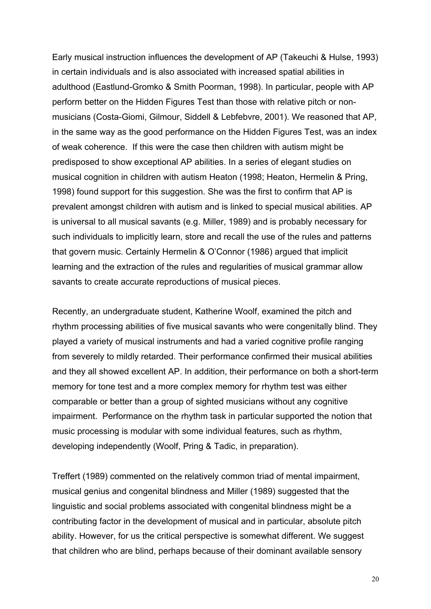Early musical instruction influences the development of AP (Takeuchi & Hulse, 1993) in certain individuals and is also associated with increased spatial abilities in adulthood (Eastlund-Gromko & Smith Poorman, 1998). In particular, people with AP perform better on the Hidden Figures Test than those with relative pitch or nonmusicians (Costa-Giomi, Gilmour, Siddell & Lebfebvre, 2001). We reasoned that AP, in the same way as the good performance on the Hidden Figures Test, was an index of weak coherence. If this were the case then children with autism might be predisposed to show exceptional AP abilities. In a series of elegant studies on musical cognition in children with autism Heaton (1998; Heaton, Hermelin & Pring, 1998) found support for this suggestion. She was the first to confirm that AP is prevalent amongst children with autism and is linked to special musical abilities. AP is universal to all musical savants (e.g. Miller, 1989) and is probably necessary for such individuals to implicitly learn, store and recall the use of the rules and patterns that govern music. Certainly Hermelin & O'Connor (1986) argued that implicit learning and the extraction of the rules and regularities of musical grammar allow savants to create accurate reproductions of musical pieces.

Recently, an undergraduate student, Katherine Woolf, examined the pitch and rhythm processing abilities of five musical savants who were congenitally blind. They played a variety of musical instruments and had a varied cognitive profile ranging from severely to mildly retarded. Their performance confirmed their musical abilities and they all showed excellent AP. In addition, their performance on both a short-term memory for tone test and a more complex memory for rhythm test was either comparable or better than a group of sighted musicians without any cognitive impairment. Performance on the rhythm task in particular supported the notion that music processing is modular with some individual features, such as rhythm, developing independently (Woolf, Pring & Tadic, in preparation).

Treffert (1989) commented on the relatively common triad of mental impairment, musical genius and congenital blindness and Miller (1989) suggested that the linguistic and social problems associated with congenital blindness might be a contributing factor in the development of musical and in particular, absolute pitch ability. However, for us the critical perspective is somewhat different. We suggest that children who are blind, perhaps because of their dominant available sensory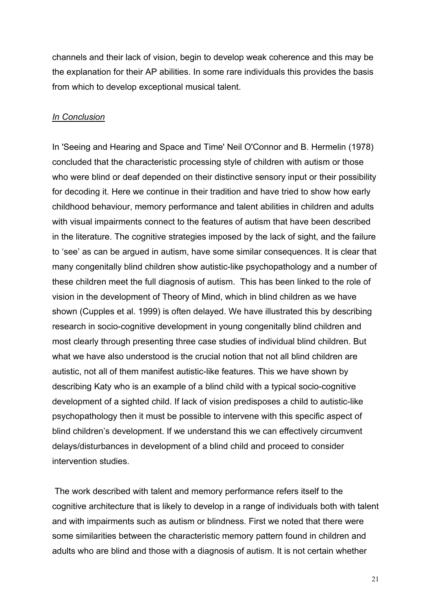channels and their lack of vision, begin to develop weak coherence and this may be the explanation for their AP abilities. In some rare individuals this provides the basis from which to develop exceptional musical talent.

### *In Conclusion*

In 'Seeing and Hearing and Space and Time' Neil O'Connor and B. Hermelin (1978) concluded that the characteristic processing style of children with autism or those who were blind or deaf depended on their distinctive sensory input or their possibility for decoding it. Here we continue in their tradition and have tried to show how early childhood behaviour, memory performance and talent abilities in children and adults with visual impairments connect to the features of autism that have been described in the literature. The cognitive strategies imposed by the lack of sight, and the failure to 'see' as can be argued in autism, have some similar consequences. It is clear that many congenitally blind children show autistic-like psychopathology and a number of these children meet the full diagnosis of autism. This has been linked to the role of vision in the development of Theory of Mind, which in blind children as we have shown (Cupples et al. 1999) is often delayed. We have illustrated this by describing research in socio-cognitive development in young congenitally blind children and most clearly through presenting three case studies of individual blind children. But what we have also understood is the crucial notion that not all blind children are autistic, not all of them manifest autistic-like features. This we have shown by describing Katy who is an example of a blind child with a typical socio-cognitive development of a sighted child. If lack of vision predisposes a child to autistic-like psychopathology then it must be possible to intervene with this specific aspect of blind children's development. If we understand this we can effectively circumvent delays/disturbances in development of a blind child and proceed to consider intervention studies.

 The work described with talent and memory performance refers itself to the cognitive architecture that is likely to develop in a range of individuals both with talent and with impairments such as autism or blindness. First we noted that there were some similarities between the characteristic memory pattern found in children and adults who are blind and those with a diagnosis of autism. It is not certain whether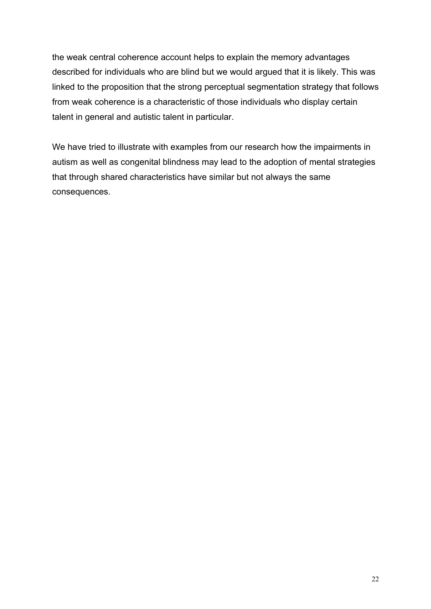the weak central coherence account helps to explain the memory advantages described for individuals who are blind but we would argued that it is likely. This was linked to the proposition that the strong perceptual segmentation strategy that follows from weak coherence is a characteristic of those individuals who display certain talent in general and autistic talent in particular.

We have tried to illustrate with examples from our research how the impairments in autism as well as congenital blindness may lead to the adoption of mental strategies that through shared characteristics have similar but not always the same consequences.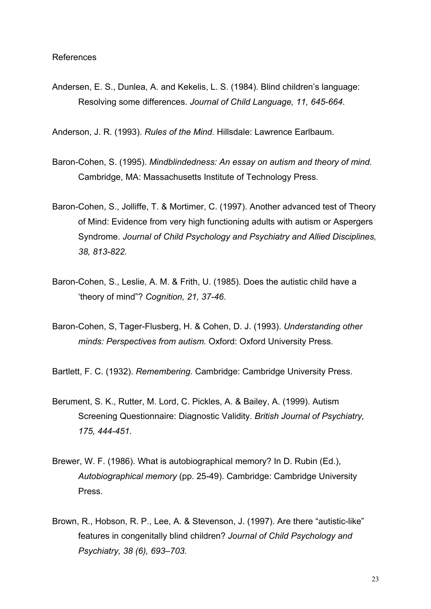#### References

Andersen, E. S., Dunlea, A. and Kekelis, L. S. (1984). Blind children's language: Resolving some differences. *Journal of Child Language, 11, 645-664*.

Anderson, J. R. (1993). *Rules of the Mind.* Hillsdale: Lawrence Earlbaum.

- Baron-Cohen, S. (1995). *Mindblindedness: An essay on autism and theory of mind.* Cambridge, MA: Massachusetts Institute of Technology Press.
- Baron-Cohen, S., Jolliffe, T. & Mortimer, C. (1997). Another advanced test of Theory of Mind: Evidence from very high functioning adults with autism or Aspergers Syndrome. *Journal of Child Psychology and Psychiatry and Allied Disciplines, 38, 813-822.*
- Baron-Cohen, S., Leslie, A. M. & Frith, U. (1985). Does the autistic child have a 'theory of mind"? *Cognition, 21, 37-46*.
- Baron-Cohen, S, Tager-Flusberg, H. & Cohen, D. J. (1993). *Understanding other minds: Perspectives from autism.* Oxford: Oxford University Press.

Bartlett, F. C. (1932). *Remembering.* Cambridge: Cambridge University Press.

- Berument, S. K., Rutter, M. Lord, C. Pickles, A. & Bailey, A. (1999). Autism Screening Questionnaire: Diagnostic Validity. *British Journal of Psychiatry, 175, 444-451.*
- Brewer, W. F. (1986). What is autobiographical memory? In D. Rubin (Ed.), *Autobiographical memory* (pp. 25-49). Cambridge: Cambridge University Press.
- Brown, R., Hobson, R. P., Lee, A. & Stevenson, J. (1997). Are there "autistic-like" features in congenitally blind children? *Journal of Child Psychology and Psychiatry, 38 (6), 693–703*.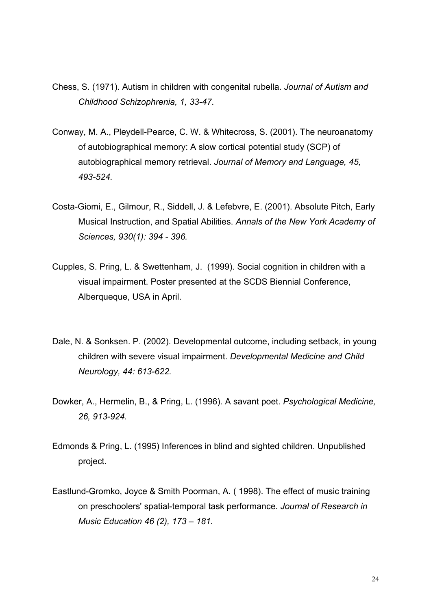- Chess, S. (1971). Autism in children with congenital rubella. *Journal of Autism and Childhood Schizophrenia, 1, 33-47*.
- Conway, M. A., Pleydell-Pearce, C. W. & Whitecross, S. (2001). The neuroanatomy of autobiographical memory: A slow cortical potential study (SCP) of autobiographical memory retrieval. *Journal of Memory and Language, 45, 493-524.*
- Costa-Giomi, E., Gilmour, R., Siddell, J. & Lefebvre, E. (2001). Absolute Pitch, Early Musical Instruction, and Spatial Abilities. *Annals of the New York Academy of Sciences, 930(1): 394 - 396.*
- Cupples, S. Pring, L. & Swettenham, J. (1999). Social cognition in children with a visual impairment. Poster presented at the SCDS Biennial Conference, Alberqueque, USA in April.
- Dale, N. & Sonksen. P. (2002). Developmental outcome, including setback, in young children with severe visual impairment. *Developmental Medicine and Child Neurology, 44: 613-622.*
- Dowker, A., Hermelin, B., & Pring, L. (1996). A savant poet. *Psychological Medicine, 26, 913-924.*
- Edmonds & Pring, L. (1995) Inferences in blind and sighted children. Unpublished project.
- Eastlund-Gromko, Joyce & Smith Poorman, A. ( 1998). The effect of music training on preschoolers' spatial-temporal task performance. *Journal of Research in Music Education 46 (2), 173 – 181.*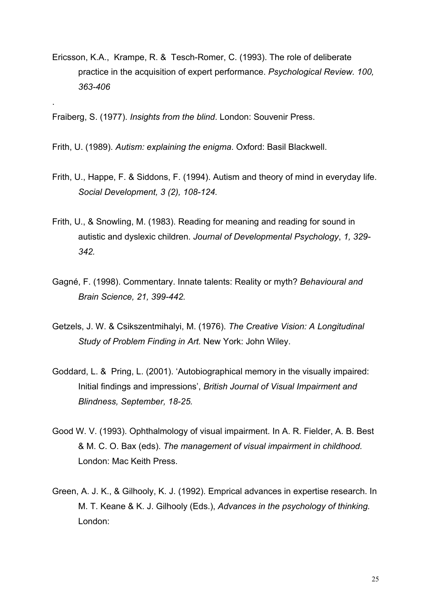Ericsson, K.A., Krampe, R. & Tesch-Romer, C. (1993). The role of deliberate practice in the acquisition of expert performance. *Psychological Review. 100, 363-406* 

Fraiberg, S. (1977). *Insights from the blind*. London: Souvenir Press.

.

Frith, U. (1989). *Autism: explaining the enigma*. Oxford: Basil Blackwell.

- Frith, U., Happe, F. & Siddons, F. (1994). Autism and theory of mind in everyday life. *Social Development, 3 (2), 108-124.*
- Frith, U., & Snowling, M. (1983). Reading for meaning and reading for sound in autistic and dyslexic children. *Journal of Developmental Psychology*, *1, 329- 342.*
- Gagné, F. (1998). Commentary. Innate talents: Reality or myth? *Behavioural and Brain Science, 21, 399-442.*
- Getzels, J. W. & Csikszentmihalyi, M. (1976). *The Creative Vision: A Longitudinal Study of Problem Finding in Art.* New York: John Wiley.
- Goddard, L. & Pring, L. (2001). 'Autobiographical memory in the visually impaired: Initial findings and impressions', *British Journal of Visual Impairment and Blindness, September, 18-25.*
- Good W. V. (1993). Ophthalmology of visual impairment. In A. R. Fielder, A. B. Best & M. C. O. Bax (eds). *The management of visual impairment in childhood.* London: Mac Keith Press.
- Green, A. J. K., & Gilhooly, K. J. (1992). Emprical advances in expertise research. In M. T. Keane & K. J. Gilhooly (Eds.), *Advances in the psychology of thinking.* London: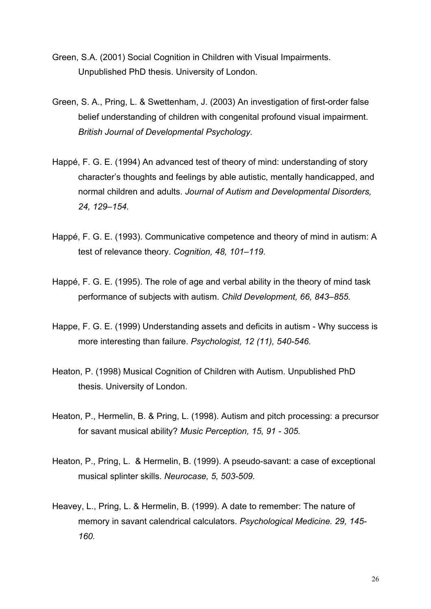- Green, S.A. (2001) Social Cognition in Children with Visual Impairments. Unpublished PhD thesis. University of London.
- Green, S. A., Pring, L. & Swettenham, J. (2003) An investigation of first-order false belief understanding of children with congenital profound visual impairment. *British Journal of Developmental Psychology.*
- Happé, F. G. E. (1994) An advanced test of theory of mind: understanding of story character's thoughts and feelings by able autistic, mentally handicapped, and normal children and adults. *Journal of Autism and Developmental Disorders, 24, 129–154.*
- Happé, F. G. E. (1993). Communicative competence and theory of mind in autism: A test of relevance theory. *Cognition, 48, 101–119.*
- Happé, F. G. E. (1995). The role of age and verbal ability in the theory of mind task performance of subjects with autism. *Child Development, 66, 843–855.*
- Happe, F. G. E. (1999) Understanding assets and deficits in autism Why success is more interesting than failure. *Psychologist, 12 (11), 540-546.*
- Heaton, P. (1998) Musical Cognition of Children with Autism. Unpublished PhD thesis. University of London.
- Heaton, P., Hermelin, B. & Pring, L. (1998). Autism and pitch processing: a precursor for savant musical ability? *Music Perception, 15, 91 - 305.*
- Heaton, P., Pring, L. & Hermelin, B. (1999). A pseudo-savant: a case of exceptional musical splinter skills. *Neurocase, 5, 503-509.*
- Heavey, L., Pring, L. & Hermelin, B. (1999). A date to remember: The nature of memory in savant calendrical calculators. *Psychological Medicine. 29, 145- 160.*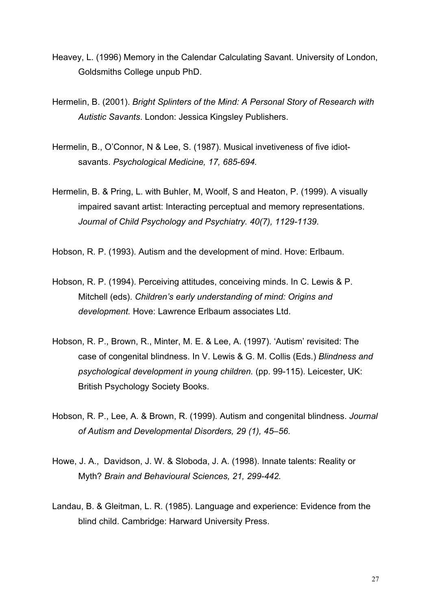- Heavey, L. (1996) Memory in the Calendar Calculating Savant. University of London, Goldsmiths College unpub PhD.
- Hermelin, B. (2001). *Bright Splinters of the Mind: A Personal Story of Research with Autistic Savants*. London: Jessica Kingsley Publishers.
- Hermelin, B., O'Connor, N & Lee, S. (1987). Musical invetiveness of five idiotsavants. *Psychological Medicine, 17, 685-694.*
- Hermelin, B. & Pring, L. with Buhler, M, Woolf, S and Heaton, P. (1999). A visually impaired savant artist: Interacting perceptual and memory representations. *Journal of Child Psychology and Psychiatry. 40(7), 1129-1139*.

Hobson, R. P. (1993). Autism and the development of mind. Hove: Erlbaum.

- Hobson, R. P. (1994). Perceiving attitudes, conceiving minds. In C. Lewis & P. Mitchell (eds). *Children's early understanding of mind: Origins and development.* Hove: Lawrence Erlbaum associates Ltd.
- Hobson, R. P., Brown, R., Minter, M. E. & Lee, A. (1997). 'Autism' revisited: The case of congenital blindness. In V. Lewis & G. M. Collis (Eds.) *Blindness and psychological development in young children.* (pp. 99-115). Leicester, UK: British Psychology Society Books.
- Hobson, R. P., Lee, A. & Brown, R. (1999). Autism and congenital blindness. *Journal of Autism and Developmental Disorders, 29 (1), 45–56*.
- Howe, J. A., Davidson, J. W. & Sloboda, J. A. (1998). Innate talents: Reality or Myth? *Brain and Behavioural Sciences, 21, 299-442.*
- Landau, B. & Gleitman, L. R. (1985). Language and experience: Evidence from the blind child. Cambridge: Harward University Press.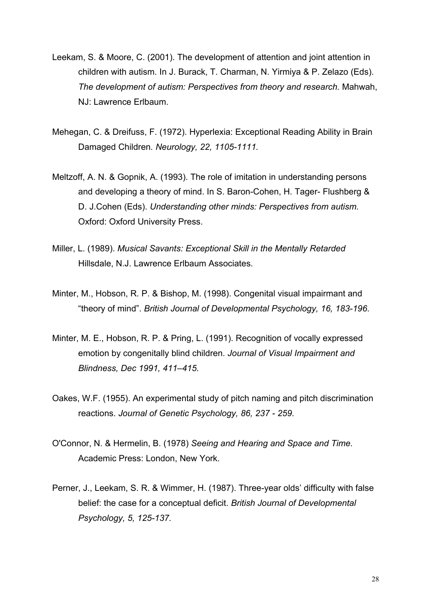- Leekam, S. & Moore, C. (2001). The development of attention and joint attention in children with autism. In J. Burack, T. Charman, N. Yirmiya & P. Zelazo (Eds). *The development of autism: Perspectives from theory and research.* Mahwah, NJ: Lawrence Erlbaum.
- Mehegan, C. & Dreifuss, F. (1972). Hyperlexia: Exceptional Reading Ability in Brain Damaged Children*. Neurology, 22, 1105-1111.*
- Meltzoff, A. N. & Gopnik, A. (1993). The role of imitation in understanding persons and developing a theory of mind. In S. Baron-Cohen, H. Tager- Flushberg & D. J.Cohen (Eds). *Understanding other minds: Perspectives from autism.* Oxford: Oxford University Press.
- Miller, L. (1989). *Musical Savants: Exceptional Skill in the Mentally Retarded* Hillsdale, N.J. Lawrence Erlbaum Associates.
- Minter, M., Hobson, R. P. & Bishop, M. (1998). Congenital visual impairmant and "theory of mind". *British Journal of Developmental Psychology, 16, 183-196*.
- Minter, M. E., Hobson, R. P. & Pring, L. (1991). Recognition of vocally expressed emotion by congenitally blind children. *Journal of Visual Impairment and Blindness, Dec 1991, 411–415.*
- Oakes, W.F. (1955). An experimental study of pitch naming and pitch discrimination reactions. *Journal of Genetic Psychology, 86, 237 - 259*.
- O'Connor, N. & Hermelin, B. (1978) *Seeing and Hearing and Space and Time.* Academic Press: London, New York.
- Perner, J., Leekam, S. R. & Wimmer, H. (1987). Three-year olds' difficulty with false belief: the case for a conceptual deficit. *British Journal of Developmental Psychology, 5, 125-137.*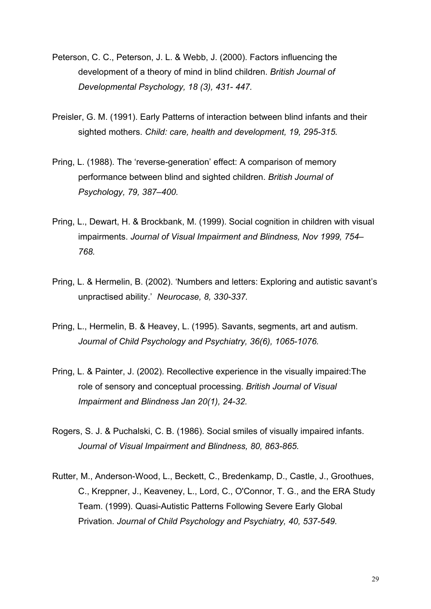- Peterson, C. C., Peterson, J. L. & Webb, J. (2000). Factors influencing the development of a theory of mind in blind children. *British Journal of Developmental Psychology, 18 (3), 431- 447.*
- Preisler, G. M. (1991). Early Patterns of interaction between blind infants and their sighted mothers. *Child: care, health and development, 19, 295-315.*
- Pring, L. (1988). The 'reverse-generation' effect: A comparison of memory performance between blind and sighted children. *British Journal of Psychology, 79, 387–400.*
- Pring, L., Dewart, H. & Brockbank, M. (1999). Social cognition in children with visual impairments. *Journal of Visual Impairment and Blindness, Nov 1999, 754– 768.*
- Pring, L. & Hermelin, B. (2002). 'Numbers and letters: Exploring and autistic savant's unpractised ability.' *Neurocase, 8, 330-337.*
- Pring, L., Hermelin, B. & Heavey, L. (1995). Savants, segments, art and autism. *Journal of Child Psychology and Psychiatry, 36(6), 1065-1076.*
- Pring, L. & Painter, J. (2002). Recollective experience in the visually impaired:The role of sensory and conceptual processing. *British Journal of Visual Impairment and Blindness Jan 20(1), 24-32.*
- Rogers, S. J. & Puchalski, C. B. (1986). Social smiles of visually impaired infants. *Journal of Visual Impairment and Blindness, 80, 863-865.*
- Rutter, M., Anderson-Wood, L., Beckett, C., Bredenkamp, D., Castle, J., Groothues, C., Kreppner, J., Keaveney, L., Lord, C., O'Connor, T. G., and the ERA Study Team. (1999). Quasi-Autistic Patterns Following Severe Early Global Privation. *Journal of Child Psychology and Psychiatry, 40, 537-549.*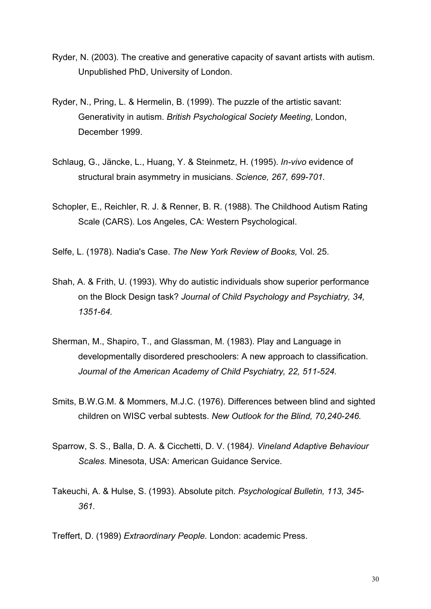- Ryder, N. (2003). The creative and generative capacity of savant artists with autism. Unpublished PhD, University of London.
- Ryder, N., Pring, L. & Hermelin, B. (1999). The puzzle of the artistic savant: Generativity in autism. *British Psychological Society Meeting*, London, December 1999.
- Schlaug, G., Jäncke, L., Huang, Y. & Steinmetz, H. (1995). *In-vivo* evidence of structural brain asymmetry in musicians. *Science, 267, 699-701.*
- Schopler, E., Reichler, R. J. & Renner, B. R. (1988). The Childhood Autism Rating Scale (CARS). Los Angeles, CA: Western Psychological.
- Selfe, L. (1978). Nadia's Case. *The New York Review of Books,* Vol. 25.
- Shah, A. & Frith, U. (1993). Why do autistic individuals show superior performance on the Block Design task? *Journal of Child Psychology and Psychiatry, 34, 1351-64.*
- Sherman, M., Shapiro, T., and Glassman, M. (1983). Play and Language in developmentally disordered preschoolers: A new approach to classification. *Journal of the American Academy of Child Psychiatry, 22, 511-524.*
- Smits, B.W.G.M. & Mommers, M.J.C. (1976). Differences between blind and sighted children on WISC verbal subtests. *New Outlook for the Blind, 70,240-246.*
- Sparrow, S. S., Balla, D. A. & Cicchetti, D. V. (1984*). Vineland Adaptive Behaviour Scales.* Minesota, USA: American Guidance Service.
- Takeuchi, A. & Hulse, S. (1993). Absolute pitch. *Psychological Bulletin, 113, 345- 361.*

Treffert, D. (1989) *Extraordinary People.* London: academic Press.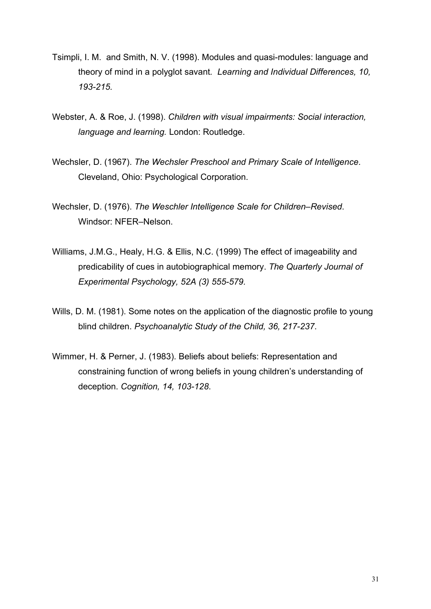- Tsimpli, I. M. and Smith, N. V. (1998). Modules and quasi-modules: language and theory of mind in a polyglot savant*. Learning and Individual Differences, 10, 193-215.*
- Webster, A. & Roe, J. (1998). *Children with visual impairments: Social interaction, language and learning.* London: Routledge.
- Wechsler, D. (1967). *The Wechsler Preschool and Primary Scale of Intelligence*. Cleveland, Ohio: Psychological Corporation.
- Wechsler, D. (1976). *The Weschler Intelligence Scale for Children–Revised*. Windsor: NFER–Nelson.
- Williams, J.M.G., Healy, H.G. & Ellis, N.C. (1999) The effect of imageability and predicability of cues in autobiographical memory. *The Quarterly Journal of Experimental Psychology, 52A (3) 555-579.*
- Wills, D. M. (1981). Some notes on the application of the diagnostic profile to young blind children. *Psychoanalytic Study of the Child, 36, 217-237*.
- Wimmer, H. & Perner, J. (1983). Beliefs about beliefs: Representation and constraining function of wrong beliefs in young children's understanding of deception. *Cognition, 14, 103-128*.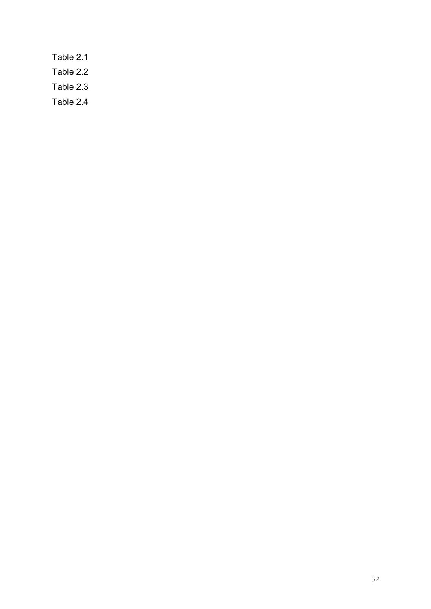Table 2.1 Table 2.2 Table 2.3 Table 2.4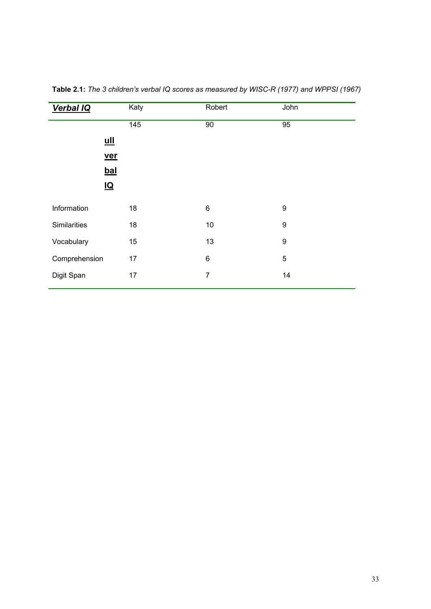| Verbal IQ     | Katy | Robert         | John             |
|---------------|------|----------------|------------------|
|               | 145  | $90\,$         | 95               |
| $u$           |      |                |                  |
| ver           |      |                |                  |
| <u>bal</u>    |      |                |                  |
| <u>IQ</u>     |      |                |                  |
| Information   | 18   | $\,6$          | $\boldsymbol{9}$ |
| Similarities  | 18   | 10             | $\boldsymbol{9}$ |
| Vocabulary    | 15   | 13             | $\boldsymbol{9}$ |
| Comprehension | 17   | $\,6$          | 5                |
| Digit Span    | 17   | $\overline{7}$ | 14               |

**Table 2.1:** *The 3 children's verbal IQ scores as measured by WISC-R (1977) and WPPSI (1967)*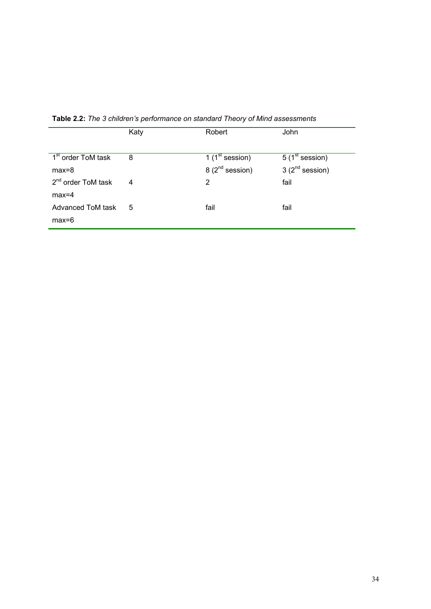|                                    | Katy | Robert                                   | <b>John</b>                                      |
|------------------------------------|------|------------------------------------------|--------------------------------------------------|
| $1st$ order ToM task<br>$max=8$    | 8    | 1 $(1st$ session)<br>$8(2^{nd}$ session) | 5 ( $1st$ session)<br>3(2 <sup>nd</sup> session) |
| $2^{nd}$ order ToM task<br>$max=4$ | 4    | 2                                        | fail                                             |
| Advanced ToM task<br>$max=6$       | 5    | fail                                     | fail                                             |

**Table 2.2:** *The 3 children's performance on standard Theory of Mind assessments*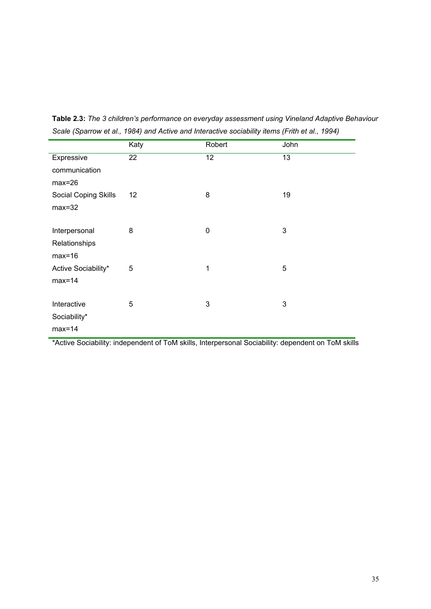|                      | Katy | Robert      | John         |
|----------------------|------|-------------|--------------|
| Expressive           | 22   | 12          | 13           |
| communication        |      |             |              |
| $max=26$             |      |             |              |
| Social Coping Skills | 12   | 8           | 19           |
| $max=32$             |      |             |              |
|                      |      |             |              |
| Interpersonal        | 8    | $\mathbf 0$ | 3            |
| Relationships        |      |             |              |
| $max=16$             |      |             |              |
| Active Sociability*  | 5    | 1           | 5            |
| $max=14$             |      |             |              |
|                      |      |             |              |
| Interactive          | 5    | 3           | $\mathbf{3}$ |
| Sociability*         |      |             |              |
| $max=14$             |      |             |              |

**Table 2.3:** *The 3 children's performance on everyday assessment using Vineland Adaptive Behaviour Scale (Sparrow et al., 1984) and Active and Interactive sociability items (Frith et al., 1994)*

\*Active Sociability: independent of ToM skills, Interpersonal Sociability: dependent on ToM skills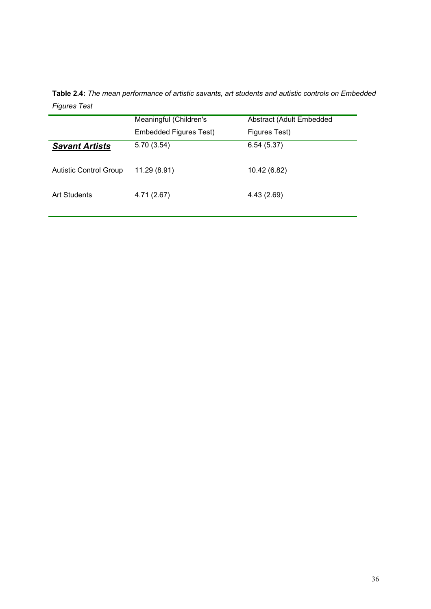| Table 2.4: The mean performance of artistic savants, art students and autistic controls on Embedded |  |
|-----------------------------------------------------------------------------------------------------|--|
| Figures Test                                                                                        |  |

|                               | Meaningful (Children's        | <b>Abstract (Adult Embedded</b> |
|-------------------------------|-------------------------------|---------------------------------|
|                               | <b>Embedded Figures Test)</b> | Figures Test)                   |
| <b>Savant Artists</b>         | 5.70(3.54)                    | 6.54(5.37)                      |
| <b>Autistic Control Group</b> | 11.29 (8.91)                  | 10.42 (6.82)                    |
| <b>Art Students</b>           | 4.71 (2.67)                   | 4.43 (2.69)                     |